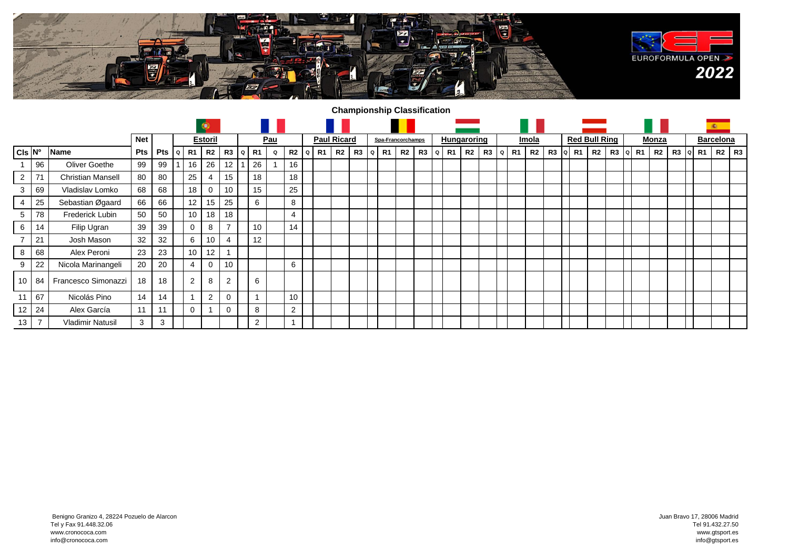

## **Championship Classification**

|                    |                          |                          |            |     |         |                | ۰              |                |   |            |   |                     |                    |                |    |           |                   |    |       |    |                    |    |   |    |       |             |                      |  |                |    |             |  |       | <b>C</b> |    |                  |           |
|--------------------|--------------------------|--------------------------|------------|-----|---------|----------------|----------------|----------------|---|------------|---|---------------------|--------------------|----------------|----|-----------|-------------------|----|-------|----|--------------------|----|---|----|-------|-------------|----------------------|--|----------------|----|-------------|--|-------|----------|----|------------------|-----------|
|                    |                          |                          | <b>Net</b> |     |         | <b>Estoril</b> |                |                |   | <u>Pau</u> |   |                     | <b>Paul Ricard</b> |                |    |           | Spa-Francorchamps |    |       |    | <b>Hungaroring</b> |    |   |    | Imola |             | <b>Red Bull Ring</b> |  |                |    |             |  | Monza |          |    | <b>Barcelona</b> |           |
| CIs N <sup>o</sup> |                          | <b>Name</b>              | Pts        | Pts | $\circ$ | R1             | R2             | R3             | Q | R1         | Q | R <sub>2</sub><br>Q | R1                 | R <sub>2</sub> | R3 | R1<br>l Q | R2                | R3 | l o l | R1 | R2                 | R3 | Q | R1 | R2    | $R3$  a  R1 |                      |  | R <sub>2</sub> | R3 | R1<br>l Q I |  | R2    | R3       | R1 |                  | $R2$ $R3$ |
|                    | 96                       | Oliver Goethe            | 99         | 99  |         | 16             | 26             | 12             |   | 26         |   | 16                  |                    |                |    |           |                   |    |       |    |                    |    |   |    |       |             |                      |  |                |    |             |  |       |          |    |                  |           |
| $\overline{2}$     | 71                       | <b>Christian Mansell</b> | 80         | 80  |         | 25             | 4              | 15             |   | 18         |   | 18                  |                    |                |    |           |                   |    |       |    |                    |    |   |    |       |             |                      |  |                |    |             |  |       |          |    |                  |           |
| 3                  | 69                       | Vladislav Lomko          | 68         | 68  |         | 18             | 0              | 10             |   | 15         |   | 25                  |                    |                |    |           |                   |    |       |    |                    |    |   |    |       |             |                      |  |                |    |             |  |       |          |    |                  |           |
| 4                  | 25                       | Sebastian Øgaard         | 66         | 66  |         | 12             | 15             | 25             |   | 6          |   | 8                   |                    |                |    |           |                   |    |       |    |                    |    |   |    |       |             |                      |  |                |    |             |  |       |          |    |                  |           |
| 5                  | 78                       | Frederick Lubin          | 50         | 50  |         | 10             | 18             | 18             |   |            |   | $\overline{4}$      |                    |                |    |           |                   |    |       |    |                    |    |   |    |       |             |                      |  |                |    |             |  |       |          |    |                  |           |
| 6                  | 14                       | Filip Ugran              | 39         | 39  |         | 0              | 8              | $\overline{ }$ |   | 10         |   | 14                  |                    |                |    |           |                   |    |       |    |                    |    |   |    |       |             |                      |  |                |    |             |  |       |          |    |                  |           |
|                    | 21                       | Josh Mason               | 32         | 32  |         | 6              | 10             | 4              |   | 12         |   |                     |                    |                |    |           |                   |    |       |    |                    |    |   |    |       |             |                      |  |                |    |             |  |       |          |    |                  |           |
| 8                  | 68                       | Alex Peroni              | 23         | 23  |         | 10             | 12             |                |   |            |   |                     |                    |                |    |           |                   |    |       |    |                    |    |   |    |       |             |                      |  |                |    |             |  |       |          |    |                  |           |
| 9                  | 22                       | Nicola Marinangeli       | 20         | 20  |         | $\overline{4}$ |                | 10             |   |            |   | 6                   |                    |                |    |           |                   |    |       |    |                    |    |   |    |       |             |                      |  |                |    |             |  |       |          |    |                  |           |
| 10 <sup>1</sup>    | 84                       | Francesco Simonazzi      | 18         | 18  |         | $\overline{2}$ | 8              | 2              |   | 6          |   |                     |                    |                |    |           |                   |    |       |    |                    |    |   |    |       |             |                      |  |                |    |             |  |       |          |    |                  |           |
| 11                 | 67                       | Nicolás Pino             | 14         | 14  |         |                | $\overline{2}$ | $\mathbf 0$    |   |            |   | 10                  |                    |                |    |           |                   |    |       |    |                    |    |   |    |       |             |                      |  |                |    |             |  |       |          |    |                  |           |
| 12 <sup>1</sup>    | 24                       | Alex García              | 11         | 11  |         | $\mathbf 0$    |                | $\Omega$       |   | 8          |   | 2                   |                    |                |    |           |                   |    |       |    |                    |    |   |    |       |             |                      |  |                |    |             |  |       |          |    |                  |           |
| 13                 | $\overline{\phantom{a}}$ | <b>Vladimir Natusil</b>  | 3          | 3   |         |                |                |                |   | 2          |   |                     |                    |                |    |           |                   |    |       |    |                    |    |   |    |       |             |                      |  |                |    |             |  |       |          |    |                  |           |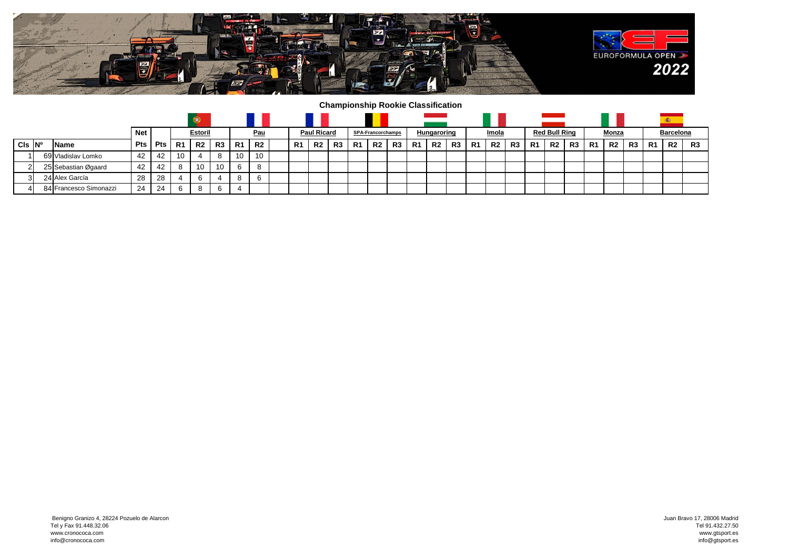

**Championship Rookie Classification**

|            |  |                        |     |            |    |                |    |            |           |  |                    |             |             |                          |                |    |             |    |    |              |                |          |                      | <b>Service State</b> |                |                |                |    |           |                |                |
|------------|--|------------------------|-----|------------|----|----------------|----|------------|-----------|--|--------------------|-------------|-------------|--------------------------|----------------|----|-------------|----|----|--------------|----------------|----------|----------------------|----------------------|----------------|----------------|----------------|----|-----------|----------------|----------------|
|            |  |                        |     | <b>Net</b> |    | Estoril        |    | <u>Pau</u> |           |  | <b>Paul Ricard</b> |             |             | <b>SPA-Francorchamps</b> |                |    | Hungaroring |    |    | <u>Imola</u> |                |          | <b>Red Bull Ring</b> |                      |                | <b>Monza</b>   |                |    | Barcelona |                |                |
| $CIs$ $No$ |  | <b>Name</b>            | Pts | Pts I      | R1 | R <sub>2</sub> | R3 | R1         | <b>R2</b> |  | R1                 | <b>R2</b> I | <b>R3</b> I | R1                       | R <sub>2</sub> | R3 | R1          | R2 | R3 | -R1          | R <sub>2</sub> | . I R3 ' | R1                   | R2                   | R <sub>3</sub> | R <sub>1</sub> | R <sub>2</sub> | R3 | -R1       | R <sub>2</sub> | R <sub>3</sub> |
|            |  | 69 Vladislav Lomko     | 42  | 42         | 10 |                | 8  | 10         | 10        |  |                    |             |             |                          |                |    |             |    |    |              |                |          |                      |                      |                |                |                |    |           |                |                |
|            |  | 25 Sebastian Øgaard    | 42  | 42         |    | 10             | 10 | 6          | 8         |  |                    |             |             |                          |                |    |             |    |    |              |                |          |                      |                      |                |                |                |    |           |                |                |
|            |  | 24 Alex García         | 28  | 28         |    |                |    | 8          | -6        |  |                    |             |             |                          |                |    |             |    |    |              |                |          |                      |                      |                |                |                |    |           |                |                |
|            |  | 84 Francesco Simonazzi | 24  | 24         |    |                | 6  | 4          |           |  |                    |             |             |                          |                |    |             |    |    |              |                |          |                      |                      |                |                |                |    |           |                |                |